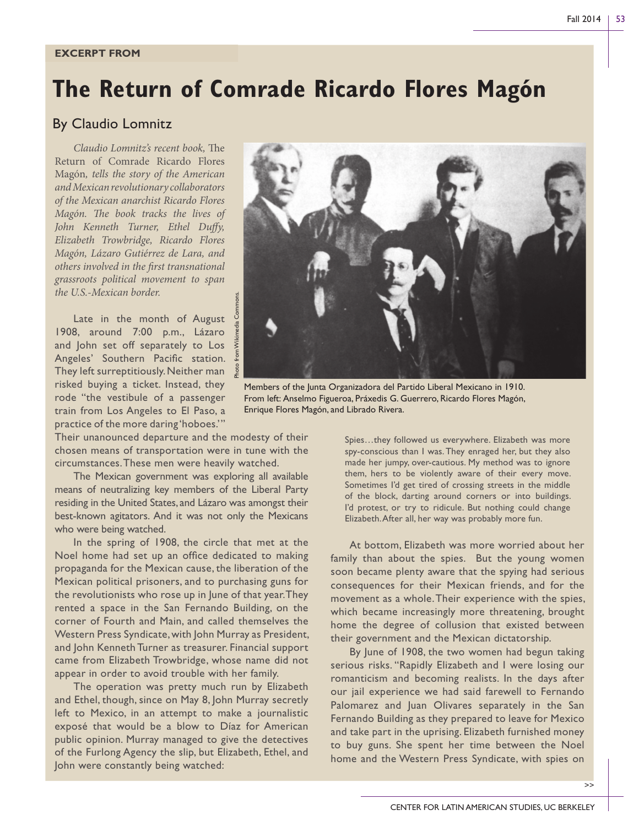## **EXCERPT FROM**

## **The Return of Comrade Ricardo Flores Magón**

## By Claudio Lomnitz

*Claudio Lomnitz's recent book,* The Return of Comrade Ricardo Flores Magón*, tells the story of the American and Mexican revolutionary collaborators of the Mexican anarchist Ricardo Flores Magón. The book tracks the lives of John Kenneth Turner, Ethel Duffy, Elizabeth Trowbridge, Ricardo Flores Magón, Lázaro Gutiérrez de Lara, and others involved in the first transnational grassroots political movement to span the U.S.-Mexican border.*

Late in the month of August 1908, around 7:00 p.m., Lázaro and John set off separately to Los Angeles' Southern Pacific station. They left surreptitiously. Neither man risked buying a ticket. Instead, they rode "the vestibule of a passenger train from Los Angeles to El Paso, a practice of the more daring 'hoboes.'"

Their unanounced departure and the modesty of their chosen means of transportation were in tune with the circumstances. These men were heavily watched.

The Mexican government was exploring all available means of neutralizing key members of the Liberal Party residing in the United States, and Lázaro was amongst their best-known agitators. And it was not only the Mexicans who were being watched.

In the spring of 1908, the circle that met at the Noel home had set up an office dedicated to making propaganda for the Mexican cause, the liberation of the Mexican political prisoners, and to purchasing guns for the revolutionists who rose up in June of that year. They rented a space in the San Fernando Building, on the corner of Fourth and Main, and called themselves the Western Press Syndicate, with John Murray as President, and John Kenneth Turner as treasurer. Financial support came from Elizabeth Trowbridge, whose name did not appear in order to avoid trouble with her family.

The operation was pretty much run by Elizabeth and Ethel, though, since on May 8, John Murray secretly left to Mexico, in an attempt to make a journalistic exposé that would be a blow to Díaz for American public opinion. Murray managed to give the detectives of the Furlong Agency the slip, but Elizabeth, Ethel, and John were constantly being watched:



Members of the Junta Organizadora del Partido Liberal Mexicano in 1910. From left: Anselmo Figueroa, Práxedis G. Guerrero, Ricardo Flores Magón, Enrique Flores Magón, and Librado Rivera.

Spies…they followed us everywhere. Elizabeth was more spy-conscious than I was. They enraged her, but they also made her jumpy, over-cautious. My method was to ignore them, hers to be violently aware of their every move. Sometimes I'd get tired of crossing streets in the middle of the block, darting around corners or into buildings. I'd protest, or try to ridicule. But nothing could change Elizabeth. After all, her way was probably more fun.

At bottom, Elizabeth was more worried about her family than about the spies. But the young women soon became plenty aware that the spying had serious consequences for their Mexican friends, and for the movement as a whole. Their experience with the spies, which became increasingly more threatening, brought home the degree of collusion that existed between their government and the Mexican dictatorship.

By June of 1908, the two women had begun taking serious risks. "Rapidly Elizabeth and I were losing our romanticism and becoming realists. In the days after our jail experience we had said farewell to Fernando Palomarez and Juan Olivares separately in the San Fernando Building as they prepared to leave for Mexico and take part in the uprising. Elizabeth furnished money to buy guns. She spent her time between the Noel home and the Western Press Syndicate, with spies on

 $\overline{>}$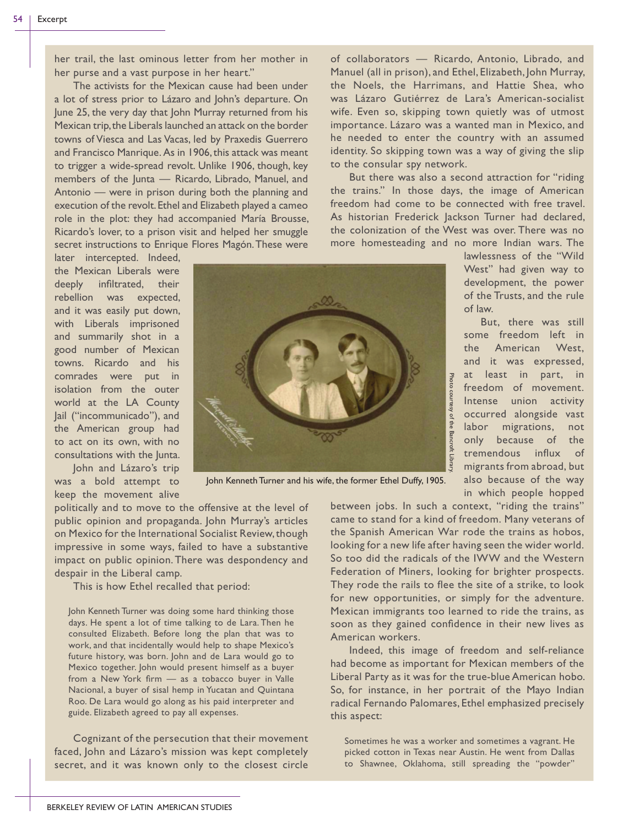her trail, the last ominous letter from her mother in her purse and a vast purpose in her heart."

The activists for the Mexican cause had been under a lot of stress prior to Lázaro and John's departure. On June 25, the very day that John Murray returned from his Mexican trip, the Liberals launched an attack on the border towns of Viesca and Las Vacas, led by Praxedis Guerrero and Francisco Manrique. As in 1906, this attack was meant to trigger a wide-spread revolt. Unlike 1906, though, key members of the Junta — Ricardo, Librado, Manuel, and Antonio — were in prison during both the planning and execution of the revolt. Ethel and Elizabeth played a cameo role in the plot: they had accompanied María Brousse, Ricardo's lover, to a prison visit and helped her smuggle secret instructions to Enrique Flores Magón. These were

later intercepted. Indeed, the Mexican Liberals were deeply infiltrated, their rebellion was expected, and it was easily put down, with Liberals imprisoned and summarily shot in a good number of Mexican towns. Ricardo and his comrades were put in isolation from the outer world at the LA County Jail ("incommunicado"), and the American group had to act on its own, with no consultations with the Junta.

John and Lázaro's trip was a bold attempt to keep the movement alive

despair in the Liberal camp.

politically and to move to the offensive at the level of public opinion and propaganda. John Murray's articles on Mexico for the International Socialist Review, though impressive in some ways, failed to have a substantive impact on public opinion. There was despondency and

This is how Ethel recalled that period:

John Kenneth Turner was doing some hard thinking those days. He spent a lot of time talking to de Lara. Then he consulted Elizabeth. Before long the plan that was to work, and that incidentally would help to shape Mexico's future history, was born. John and de Lara would go to Mexico together. John would present himself as a buyer from a New York firm — as a tobacco buyer in Valle Nacional, a buyer of sisal hemp in Yucatan and Quintana Roo. De Lara would go along as his paid interpreter and guide. Elizabeth agreed to pay all expenses.

Cognizant of the persecution that their movement faced, John and Lázaro's mission was kept completely secret, and it was known only to the closest circle

of collaborators — Ricardo, Antonio, Librado, and Manuel (all in prison), and Ethel, Elizabeth, John Murray, the Noels, the Harrimans, and Hattie Shea, who was Lázaro Gutiérrez de Lara's American-socialist wife. Even so, skipping town quietly was of utmost importance. Lázaro was a wanted man in Mexico, and he needed to enter the country with an assumed identity. So skipping town was a way of giving the slip to the consular spy network.

But there was also a second attraction for "riding the trains." In those days, the image of American freedom had come to be connected with free travel. As historian Frederick Jackson Turner had declared, the colonization of the West was over. There was no more homesteading and no more Indian wars. The

Photo courtesy of the Bancroft Library.

John Kenneth Turner and his wife, the former Ethel Duffy, 1905.

lawlessness of the "Wild West" had given way to development, the power of the Trusts, and the rule of law.

But, there was still some freedom left in the American West, and it was expressed, at least in part, in freedom of movement. Intense union activity occurred alongside vast labor migrations, not only because of the tremendous influx of migrants from abroad, but also because of the way in which people hopped

between jobs. In such a context, "riding the trains" came to stand for a kind of freedom. Many veterans of the Spanish American War rode the trains as hobos, looking for a new life after having seen the wider world. So too did the radicals of the IWW and the Western Federation of Miners, looking for brighter prospects. They rode the rails to flee the site of a strike, to look for new opportunities, or simply for the adventure. Mexican immigrants too learned to ride the trains, as soon as they gained confidence in their new lives as American workers.

Indeed, this image of freedom and self-reliance had become as important for Mexican members of the Liberal Party as it was for the true-blue American hobo. So, for instance, in her portrait of the Mayo Indian radical Fernando Palomares, Ethel emphasized precisely this aspect:

Sometimes he was a worker and sometimes a vagrant. He picked cotton in Texas near Austin. He went from Dallas to Shawnee, Oklahoma, still spreading the "powder"